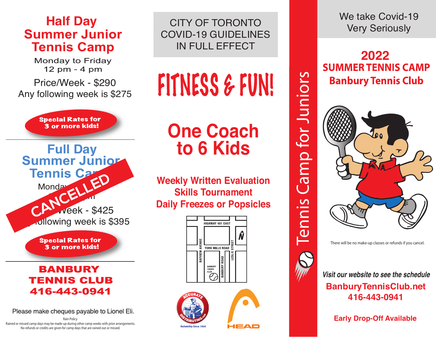## **Half Day<br>Summer Junior Tennis Camp**

**Monday to Friday** 12 pm - 4 pm

Price/Week - \$290 Any following week is \$275



**Special Rates for** 3 or more kids!

## **BANBURY TENNIS CLUB** 416-443-0941

Please make cheques payable to Lionel Eli.

Rain Policy

Rained or missed camp days may be made-up during other camp weeks with prior arrangements. No refunds or credits are given for camp days that are rained out or missed.

CITY OF TORONTO COVID-19 GUIDELINES IN FULL EFFECT

## FITNESS & FUN!

## **One Coach to 6 Kids**

**Weekly Written Evaluation Skills Tournament Daily Freezes or Popsicles**







We take Covid-19 Very Seriously



There will be no make-up classes or refunds if you cancel.



**Visit our website to see the schedule BanburyTennisClub.net 416-443-0941**

**Early Drop-Off Available**